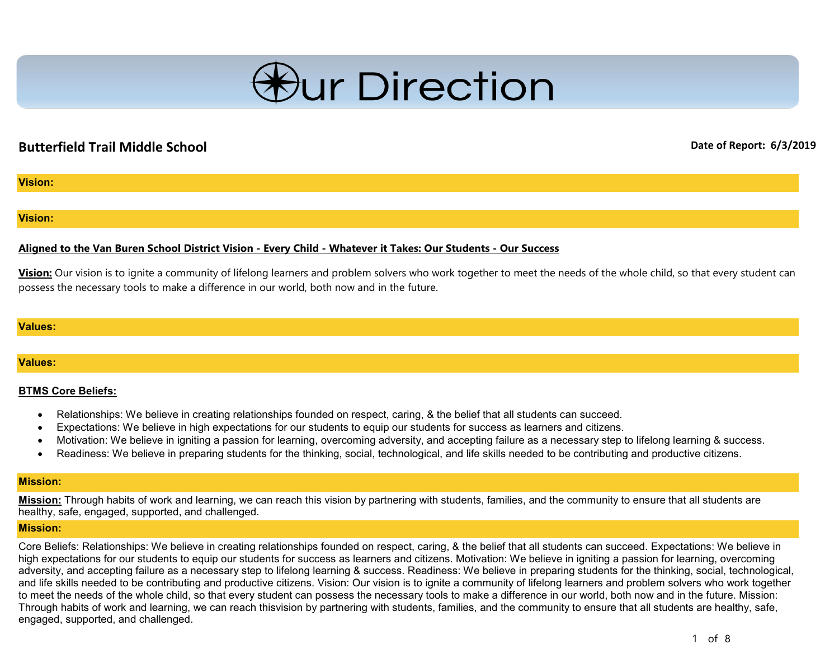

# **Butterfield Trail Middle School Date of Report: 6/3/2019**

## **Vision:**

### **Vision:**

## **Aligned to the Van Buren School District Vision - Every Child - Whatever it Takes: Our Students - Our Success**

**Vision:** Our vision is to ignite a community of lifelong learners and problem solvers who work together to meet the needs of the whole child, so that every student can possess the necessary tools to make a difference in our world, both now and in the future.

### **Values:**

### **Values:**

### **BTMS Core Beliefs:**

- Relationships: We believe in creating relationships founded on respect, caring, & the belief that all students can succeed.
- Expectations: We believe in high expectations for our students to equip our students for success as learners and citizens.
- Motivation: We believe in igniting a passion for learning, overcoming adversity, and accepting failure as a necessary step to lifelong learning & success.
- Readiness: We believe in preparing students for the thinking, social, technological, and life skills needed to be contributing and productive citizens.

#### **Mission:**

**Mission:** Through habits of work and learning, we can reach this vision by partnering with students, families, and the community to ensure that all students are healthy, safe, engaged, supported, and challenged.

#### **Mission:**

Core Beliefs: Relationships: We believe in creating relationships founded on respect, caring, & the belief that all students can succeed. Expectations: We believe in high expectations for our students to equip our students for success as learners and citizens. Motivation: We believe in igniting a passion for learning, overcoming adversity, and accepting failure as a necessary step to lifelong learning & success. Readiness: We believe in preparing students for the thinking, social, technological, and life skills needed to be contributing and productive citizens. Vision: Our vision is to ignite a community of lifelong learners and problem solvers who work together to meet the needs of the whole child, so that every student can possess the necessary tools to make a difference in our world, both now and in the future. Mission: Through habits of work and learning, we can reach thisvision by partnering with students, families, and the community to ensure that all students are healthy, safe, engaged, supported, and challenged.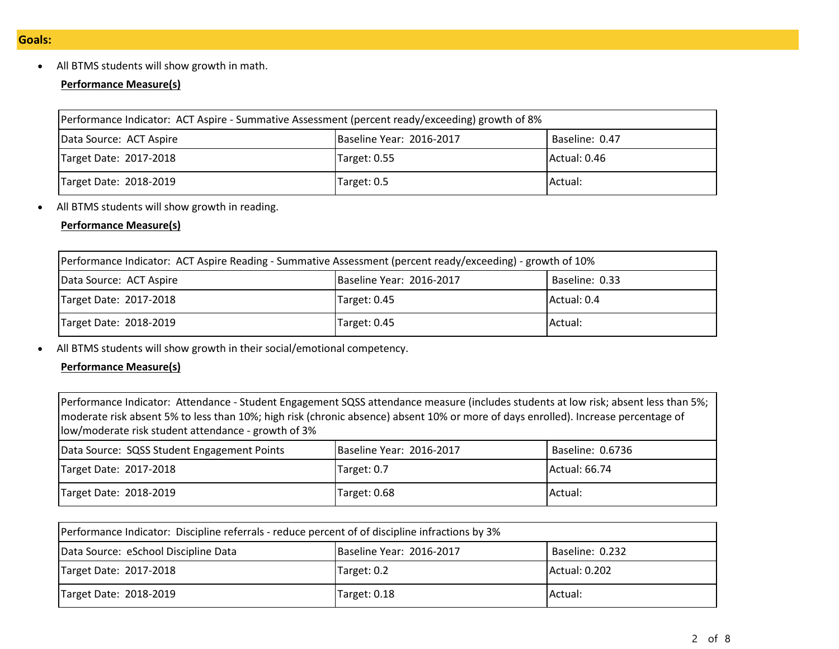• All BTMS students will show growth in math.

# **Performance Measure(s)**

| Performance Indicator: ACT Aspire - Summative Assessment (percent ready/exceeding) growth of 8% |              |              |  |  |  |
|-------------------------------------------------------------------------------------------------|--------------|--------------|--|--|--|
| Baseline Year: 2016-2017<br>Baseline: 0.47<br>Data Source: ACT Aspire                           |              |              |  |  |  |
| Target Date: 2017-2018                                                                          | Target: 0.55 | Actual: 0.46 |  |  |  |
| Target Date: 2018-2019<br>Actual:<br>Target: 0.5                                                |              |              |  |  |  |

• All BTMS students will show growth in reading.

# **Performance Measure(s)**

| Performance Indicator: ACT Aspire Reading - Summative Assessment (percent ready/exceeding) - growth of 10% |              |             |  |  |  |
|------------------------------------------------------------------------------------------------------------|--------------|-------------|--|--|--|
| Baseline Year: 2016-2017<br>Baseline: 0.33<br>Data Source: ACT Aspire                                      |              |             |  |  |  |
| Target Date: 2017-2018                                                                                     | Target: 0.45 | Actual: 0.4 |  |  |  |
| Target Date: 2018-2019<br>Actual:<br>Target: 0.45                                                          |              |             |  |  |  |

• All BTMS students will show growth in their social/emotional competency.

# **Performance Measure(s)**

| Performance Indicator: Attendance - Student Engagement SQSS attendance measure (includes students at low risk; absent less than 5%; |  |  |  |  |
|-------------------------------------------------------------------------------------------------------------------------------------|--|--|--|--|
| moderate risk absent 5% to less than 10%; high risk (chronic absence) absent 10% or more of days enrolled). Increase percentage of  |  |  |  |  |
| llow/moderate risk student attendance - growth of 3%                                                                                |  |  |  |  |
| Data Source: SQSS Student Engagement Points<br>Baseline Year: 2016-2017<br>Baseline: 0.6736                                         |  |  |  |  |
|                                                                                                                                     |  |  |  |  |

| Target Date: 2017-2018 | Target: 0.7  | Actual: 66.74 |
|------------------------|--------------|---------------|
| Target Date: 2018-2019 | Target: 0.68 | Actual:       |

| Performance Indicator: Discipline referrals - reduce percent of of discipline infractions by 3% |             |               |  |  |  |
|-------------------------------------------------------------------------------------------------|-------------|---------------|--|--|--|
| Data Source: eSchool Discipline Data<br>Baseline Year: 2016-2017<br>Baseline: 0.232             |             |               |  |  |  |
| Target Date: 2017-2018                                                                          | Target: 0.2 | Actual: 0.202 |  |  |  |
| Target Date: 2018-2019<br>Target: 0.18<br>Actual:                                               |             |               |  |  |  |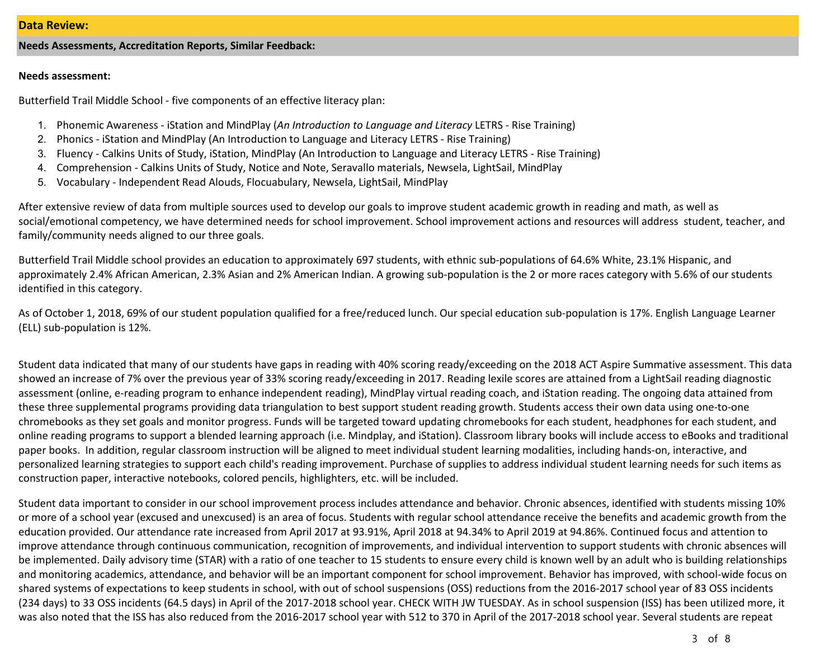### **Needs Assessments, Accreditation Reports, Similar Feedback:**

#### **Needs assessment:**

Butterfield Trail Middle School - five components of an effective literacy plan:

- 1. Phonemic Awareness iStation and MindPlay (*An Introduction to Language and Literacy* LETRS Rise Training)
- 2. Phonics iStation and MindPlay (An Introduction to Language and Literacy LETRS Rise Training)
- 3. Fluency Calkins Units of Study, iStation, MindPlay (An Introduction to Language and Literacy LETRS Rise Training)
- 4. Comprehension Calkins Units of Study, Notice and Note, Seravallo materials, Newsela, LightSail, MindPlay
- 5. Vocabulary Independent Read Alouds, Flocuabulary, Newsela, LightSail, MindPlay

After extensive review of data from multiple sources used to develop our goals to improve student academic growth in reading and math, as well as social/emotional competency, we have determined needs for school improvement. School improvement actions and resources will address student, teacher, and family/community needs aligned to our three goals.

Butterfield Trail Middle school provides an education to approximately 697 students, with ethnic sub-populations of 64.6% White, 23.1% Hispanic, and approximately 2.4% African American, 2.3% Asian and 2% American Indian. A growing sub-population is the 2 or more races category with 5.6% of our students identified in this category.

As of October 1, 2018, 69% of our student population qualified for a free/reduced lunch. Our special education sub-population is 17%. English Language Learner (ELL) sub-population is 12%.

Student data indicated that many of our students have gaps in reading with 40% scoring ready/exceeding on the 2018 ACT Aspire Summative assessment. This data showed an increase of 7% over the previous year of 33% scoring ready/exceeding in 2017. Reading lexile scores are attained from a LightSail reading diagnostic assessment (online, e-reading program to enhance independent reading), MindPlay virtual reading coach, and iStation reading. The ongoing data attained from these three supplemental programs providing data triangulation to best support student reading growth. Students access their own data using one-to-one chromebooks as they set goals and monitor progress. Funds will be targeted toward updating chromebooks for each student, headphones for each student, and online reading programs to support a blended learning approach (i.e. Mindplay, and iStation). Classroom library books will include access to eBooks and traditional paper books. In addition, regular classroom instruction will be aligned to meet individual student learning modalities, including hands-on, interactive, and personalized learning strategies to support each child's reading improvement. Purchase of supplies to address individual student learning needs for such items as construction paper, interactive notebooks, colored pencils, highlighters, etc. will be included.

Student data important to consider in our school improvement process includes attendance and behavior. Chronic absences, identified with students missing 10% or more of a school year (excused and unexcused) is an area of focus. Students with regular school attendance receive the benefits and academic growth from the education provided. Our attendance rate increased from April 2017 at 93.91%, April 2018 at 94.34% to April 2019 at 94.86%. Continued focus and attention to improve attendance through continuous communication, recognition of improvements, and individual intervention to support students with chronic absences will be implemented. Daily advisory time (STAR) with a ratio of one teacher to 15 students to ensure every child is known well by an adult who is building relationships and monitoring academics, attendance, and behavior will be an important component for school improvement. Behavior has improved, with school-wide focus on shared systems of expectations to keep students in school, with out of school suspensions (OSS) reductions from the 2016-2017 school year of 83 OSS incidents (234 days) to 33 OSS incidents (64.5 days) in April of the 2017-2018 school year. CHECK WITH JW TUESDAY. As in school suspension (ISS) has been utilized more, it was also noted that the ISS has also reduced from the 2016-2017 school year with 512 to 370 in April of the 2017-2018 school year. Several students are repeat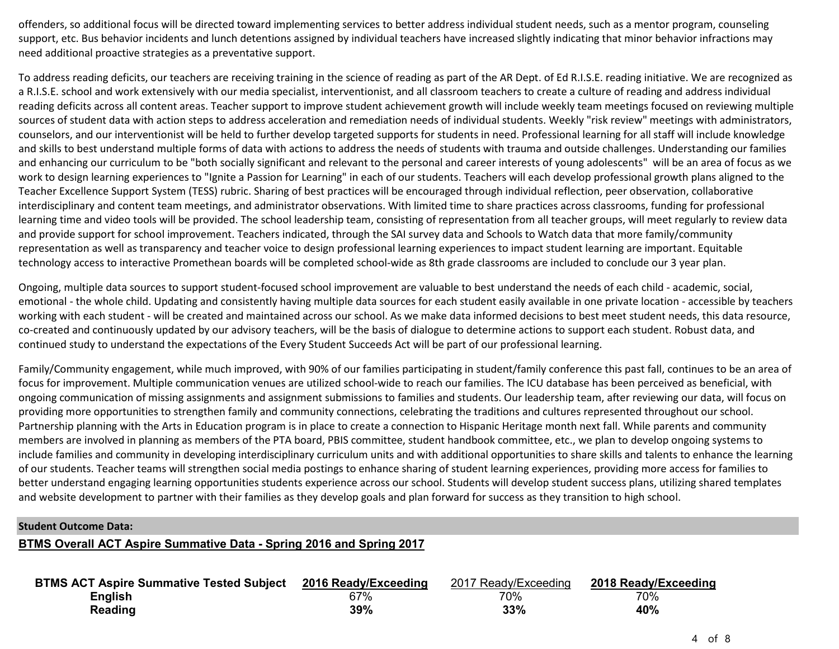offenders, so additional focus will be directed toward implementing services to better address individual student needs, such as a mentor program, counseling support, etc. Bus behavior incidents and lunch detentions assigned by individual teachers have increased slightly indicating that minor behavior infractions may need additional proactive strategies as a preventative support.

To address reading deficits, our teachers are receiving training in the science of reading as part of the AR Dept. of Ed R.I.S.E. reading initiative. We are recognized as a R.I.S.E. school and work extensively with our media specialist, interventionist, and all classroom teachers to create a culture of reading and address individual reading deficits across all content areas. Teacher support to improve student achievement growth will include weekly team meetings focused on reviewing multiple sources of student data with action steps to address acceleration and remediation needs of individual students. Weekly "risk review" meetings with administrators, counselors, and our interventionist will be held to further develop targeted supports for students in need. Professional learning for all staff will include knowledge and skills to best understand multiple forms of data with actions to address the needs of students with trauma and outside challenges. Understanding our families and enhancing our curriculum to be "both socially significant and relevant to the personal and career interests of young adolescents" will be an area of focus as we work to design learning experiences to "Ignite a Passion for Learning" in each of our students. Teachers will each develop professional growth plans aligned to the Teacher Excellence Support System (TESS) rubric. Sharing of best practices will be encouraged through individual reflection, peer observation, collaborative interdisciplinary and content team meetings, and administrator observations. With limited time to share practices across classrooms, funding for professional learning time and video tools will be provided. The school leadership team, consisting of representation from all teacher groups, will meet regularly to review data and provide support for school improvement. Teachers indicated, through the SAI survey data and Schools to Watch data that more family/community representation as well as transparency and teacher voice to design professional learning experiences to impact student learning are important. Equitable technology access to interactive Promethean boards will be completed school-wide as 8th grade classrooms are included to conclude our 3 year plan.

Ongoing, multiple data sources to support student-focused school improvement are valuable to best understand the needs of each child - academic, social, emotional - the whole child. Updating and consistently having multiple data sources for each student easily available in one private location - accessible by teachers working with each student - will be created and maintained across our school. As we make data informed decisions to best meet student needs, this data resource, co-created and continuously updated by our advisory teachers, will be the basis of dialogue to determine actions to support each student. Robust data, and continued study to understand the expectations of the Every Student Succeeds Act will be part of our professional learning.

Family/Community engagement, while much improved, with 90% of our families participating in student/family conference this past fall, continues to be an area of focus for improvement. Multiple communication venues are utilized school-wide to reach our families. The ICU database has been perceived as beneficial, with ongoing communication of missing assignments and assignment submissions to families and students. Our leadership team, after reviewing our data, will focus on providing more opportunities to strengthen family and community connections, celebrating the traditions and cultures represented throughout our school. Partnership planning with the Arts in Education program is in place to create a connection to Hispanic Heritage month next fall. While parents and community members are involved in planning as members of the PTA board, PBIS committee, student handbook committee, etc., we plan to develop ongoing systems to include families and community in developing interdisciplinary curriculum units and with additional opportunities to share skills and talents to enhance the learning of our students. Teacher teams will strengthen social media postings to enhance sharing of student learning experiences, providing more access for families to better understand engaging learning opportunities students experience across our school. Students will develop student success plans, utilizing shared templates and website development to partner with their families as they develop goals and plan forward for success as they transition to high school.

## **Student Outcome Data:**

# **BTMS Overall ACT Aspire Summative Data - Spring 2016 and Spring 2017**

| BTMS ACT Aspire Summative Tested Subject 2016 Ready/Exceeding |     | 2017 Ready/Exceeding | 2018 Ready/Exceeding |
|---------------------------------------------------------------|-----|----------------------|----------------------|
| <b>English</b>                                                | 67% | 70%                  | 70%                  |
| <b>Reading</b>                                                | 39% | 33%                  | 40%                  |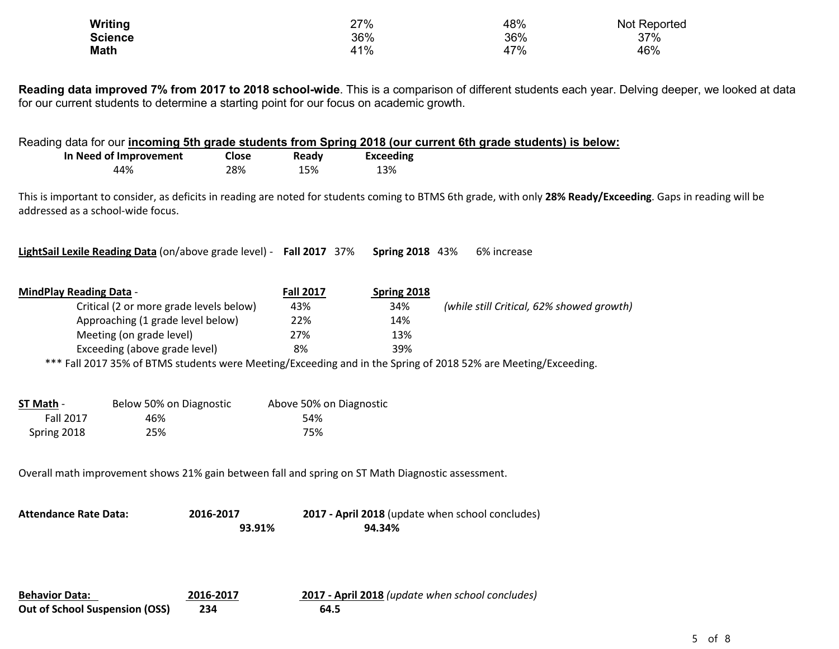| Writing        | 27% | 48% | Not Reported |
|----------------|-----|-----|--------------|
| <b>Science</b> | 36% | 36% | 37%          |
| <b>Math</b>    | 41% | 47% | 46%          |

**Reading data improved 7% from 2017 to 2018 school-wide**. This is a comparison of different students each year. Delving deeper, we looked at data for our current students to determine a starting point for our focus on academic growth.

|                                       | In Need of Improvement<br>44%           | Close<br>28%                                                                                      | Ready<br>15%            | <b>Exceeding</b><br>13%                          | Reading data for our <i>incoming 5th grade students from Spring 2018 (our current 6th grade students) is below:</i>                                           |
|---------------------------------------|-----------------------------------------|---------------------------------------------------------------------------------------------------|-------------------------|--------------------------------------------------|---------------------------------------------------------------------------------------------------------------------------------------------------------------|
| addressed as a school-wide focus.     |                                         |                                                                                                   |                         |                                                  | This is important to consider, as deficits in reading are noted for students coming to BTMS 6th grade, with only 28% Ready/Exceeding. Gaps in reading will be |
|                                       |                                         | LightSail Lexile Reading Data (on/above grade level) - Fall 2017 37%                              |                         | <b>Spring 2018</b> 43%                           | 6% increase                                                                                                                                                   |
| <b>MindPlay Reading Data -</b>        |                                         |                                                                                                   | <b>Fall 2017</b>        | <b>Spring 2018</b>                               |                                                                                                                                                               |
|                                       | Critical (2 or more grade levels below) |                                                                                                   | 43%                     | 34%                                              | (while still Critical, 62% showed growth)                                                                                                                     |
|                                       | Approaching (1 grade level below)       |                                                                                                   | 22%                     | 14%                                              |                                                                                                                                                               |
|                                       | Meeting (on grade level)                |                                                                                                   | 27%                     | 13%                                              |                                                                                                                                                               |
|                                       | Exceeding (above grade level)           |                                                                                                   | 8%                      | 39%                                              |                                                                                                                                                               |
|                                       |                                         |                                                                                                   |                         |                                                  | *** Fall 2017 35% of BTMS students were Meeting/Exceeding and in the Spring of 2018 52% are Meeting/Exceeding.                                                |
|                                       |                                         |                                                                                                   |                         |                                                  |                                                                                                                                                               |
| ST Math -                             | Below 50% on Diagnostic                 |                                                                                                   | Above 50% on Diagnostic |                                                  |                                                                                                                                                               |
| <b>Fall 2017</b>                      | 46%                                     |                                                                                                   | 54%                     |                                                  |                                                                                                                                                               |
| Spring 2018                           | 25%                                     |                                                                                                   | 75%                     |                                                  |                                                                                                                                                               |
|                                       |                                         |                                                                                                   |                         |                                                  |                                                                                                                                                               |
|                                       |                                         |                                                                                                   |                         |                                                  |                                                                                                                                                               |
|                                       |                                         | Overall math improvement shows 21% gain between fall and spring on ST Math Diagnostic assessment. |                         |                                                  |                                                                                                                                                               |
|                                       |                                         |                                                                                                   |                         |                                                  |                                                                                                                                                               |
| <b>Attendance Rate Data:</b>          |                                         | 2016-2017                                                                                         |                         | 2017 - April 2018 (update when school concludes) |                                                                                                                                                               |
|                                       |                                         | 93.91%                                                                                            |                         | 94.34%                                           |                                                                                                                                                               |
|                                       |                                         |                                                                                                   |                         |                                                  |                                                                                                                                                               |
|                                       |                                         |                                                                                                   |                         |                                                  |                                                                                                                                                               |
|                                       |                                         |                                                                                                   |                         |                                                  |                                                                                                                                                               |
|                                       |                                         |                                                                                                   |                         |                                                  |                                                                                                                                                               |
| <b>Behavior Data:</b>                 |                                         | 2016-2017                                                                                         |                         | 2017 - April 2018 (update when school concludes) |                                                                                                                                                               |
| <b>Out of School Suspension (OSS)</b> |                                         | 234                                                                                               | 64.5                    |                                                  |                                                                                                                                                               |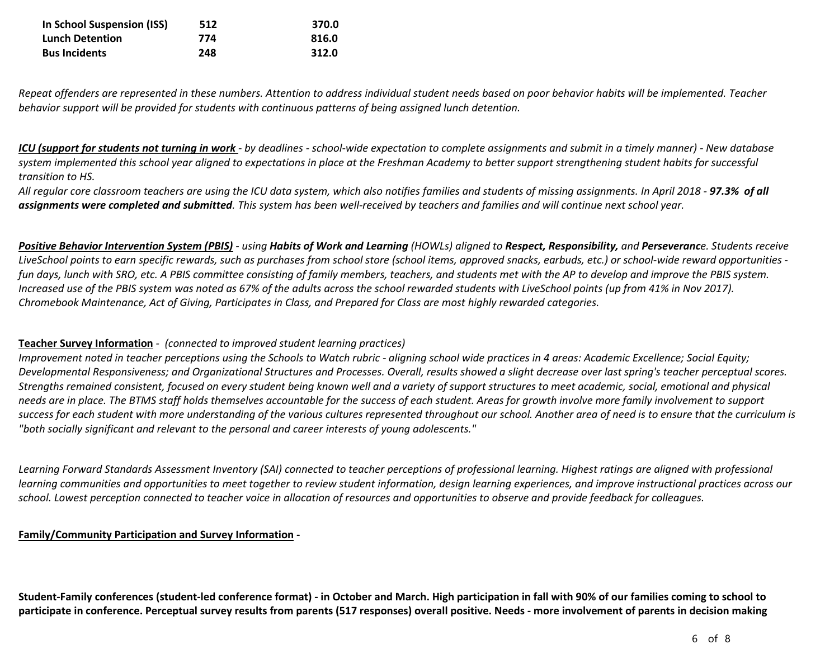| In School Suspension (ISS) | 512 | 370.0 |
|----------------------------|-----|-------|
| <b>Lunch Detention</b>     | 774 | 816.0 |
| <b>Bus Incidents</b>       | 248 | 312.0 |

*Repeat offenders are represented in these numbers. Attention to address individual student needs based on poor behavior habits will be implemented. Teacher behavior support will be provided for students with continuous patterns of being assigned lunch detention.*

*ICU (support for students not turning in work - by deadlines - school-wide expectation to complete assignments and submit in a timely manner) - New database system implemented this school year aligned to expectations in place at the Freshman Academy to better support strengthening student habits for successful transition to HS.*

*All regular core classroom teachers are using the ICU data system, which also notifies families and students of missing assignments. In April 2018 - 97.3% of all assignments were completed and submitted. This system has been well-received by teachers and families and will continue next school year.*

Positive Behavior Intervention System (PBIS) - using Habits of Work and Learning (HOWLs) aligned to Respect, Responsibility, and Perseverance. Students receive *LiveSchool points to earn specific rewards, such as purchases from school store (school items, approved snacks, earbuds, etc.) or school-wide reward opportunities fun days, lunch with SRO, etc. A PBIS committee consisting of family members, teachers, and students met with the AP to develop and improve the PBIS system. Increased use of the PBIS system was noted as 67% of the adults across the school rewarded students with LiveSchool points (up from 41% in Nov 2017). Chromebook Maintenance, Act of Giving, Participates in Class, and Prepared for Class are most highly rewarded categories.*

# **Teacher Survey Information** *- (connected to improved student learning practices)*

*Improvement noted in teacher perceptions using the Schools to Watch rubric - aligning school wide practices in 4 areas: Academic Excellence; Social Equity; Developmental Responsiveness; and Organizational Structures and Processes. Overall, results showed a slight decrease over last spring's teacher perceptual scores. Strengths remained consistent, focused on every student being known well and a variety of support structures to meet academic, social, emotional and physical needs are in place. The BTMS staff holds themselves accountable for the success of each student. Areas for growth involve more family involvement to support success for each student with more understanding of the various cultures represented throughout our school. Another area of need is to ensure that the curriculum is "both socially significant and relevant to the personal and career interests of young adolescents."*

Learning Forward Standards Assessment Inventory (SAI) connected to teacher perceptions of professional learning. Highest ratings are aligned with professional *learning communities and opportunities to meet together to review student information, design learning experiences, and improve instructional practices across our school. Lowest perception connected to teacher voice in allocation of resources and opportunities to observe and provide feedback for colleagues.*

# **Family/Community Participation and Survey Information -**

**Student-Family conferences (student-led conference format) - in October and March. High participation in fall with 90% of our families coming to school to participate in conference. Perceptual survey results from parents (517 responses) overall positive. Needs - more involvement of parents in decision making**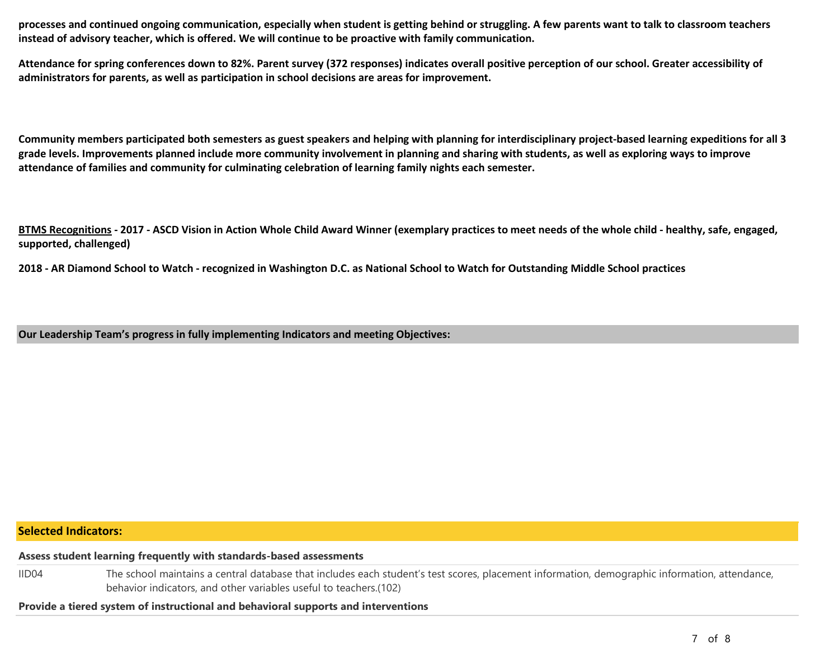**processes and continued ongoing communication, especially when student is getting behind or struggling. A few parents want to talk to classroom teachers instead of advisory teacher, which is offered. We will continue to be proactive with family communication.** 

**Attendance for spring conferences down to 82%. Parent survey (372 responses) indicates overall positive perception of our school. Greater accessibility of administrators for parents, as well as participation in school decisions are areas for improvement.** 

**Community members participated both semesters as guest speakers and helping with planning for interdisciplinary project-based learning expeditions for all 3 grade levels. Improvements planned include more community involvement in planning and sharing with students, as well as exploring ways to improve attendance of families and community for culminating celebration of learning family nights each semester.** 

**BTMS Recognitions - 2017 - ASCD Vision in Action Whole Child Award Winner (exemplary practices to meet needs of the whole child - healthy, safe, engaged, supported, challenged)** 

**2018 - AR Diamond School to Watch - recognized in Washington D.C. as National School to Watch for Outstanding Middle School practices** 

**Our Leadership Team's progress in fully implementing Indicators and meeting Objectives:**

# **Selected Indicators:**

**Assess student learning frequently with standards-based assessments**

IID04 The school maintains a central database that includes each student's test scores, placement information, demographic information, attendance, behavior indicators, and other variables useful to teachers.(102)

**Provide a tiered system of instructional and behavioral supports and interventions**